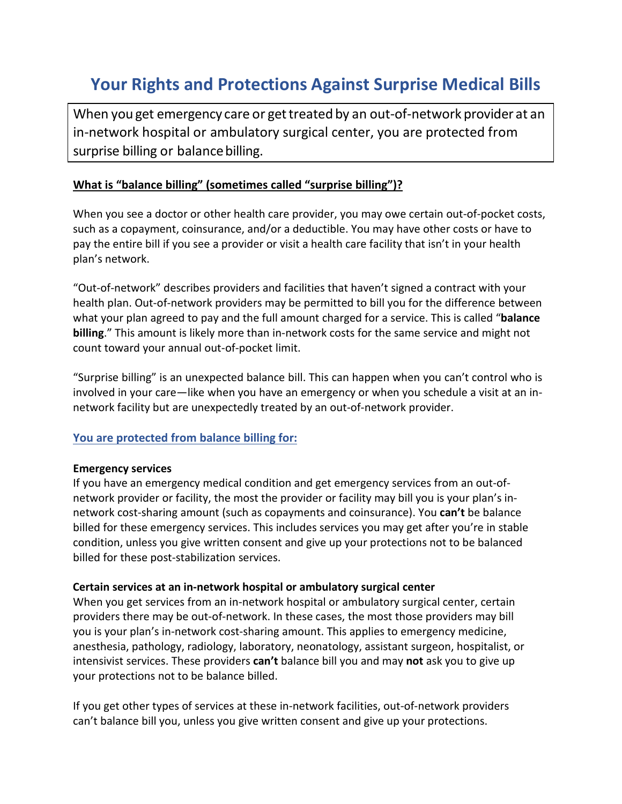# **Your Rights and Protections Against Surprise Medical Bills**

When you get emergency care or get treated by an out-of-network provider at an in-network hospital or ambulatory surgical center, you are protected from surprise billing or balance billing.

### **What is "balance billing" (sometimes called "surprise billing")?**

When you see a doctor or other health care provider, you may owe certain out-of-pocket costs, such as a copayment, coinsurance, and/or a deductible. You may have other costs or have to pay the entire bill if you see a provider or visit a health care facility that isn't in your health plan's network.

"Out-of-network" describes providers and facilities that haven't signed a contract with your health plan. Out-of-network providers may be permitted to bill you for the difference between what your plan agreed to pay and the full amount charged for a service. This is called "**balance billing**." This amount is likely more than in-network costs for the same service and might not count toward your annual out-of-pocket limit.

"Surprise billing" is an unexpected balance bill. This can happen when you can't control who is involved in your care—like when you have an emergency or when you schedule a visit at an innetwork facility but are unexpectedly treated by an out-of-network provider.

### **You are protected from balance billing for:**

#### **Emergency services**

If you have an emergency medical condition and get emergency services from an out-ofnetwork provider or facility, the most the provider or facility may bill you is your plan's innetwork cost-sharing amount (such as copayments and coinsurance). You **can't** be balance billed for these emergency services. This includes services you may get after you're in stable condition, unless you give written consent and give up your protections not to be balanced billed for these post-stabilization services.

#### **Certain services at an in-network hospital or ambulatory surgical center**

When you get services from an in-network hospital or ambulatory surgical center, certain providers there may be out-of-network. In these cases, the most those providers may bill you is your plan's in-network cost-sharing amount. This applies to emergency medicine, anesthesia, pathology, radiology, laboratory, neonatology, assistant surgeon, hospitalist, or intensivist services. These providers **can't** balance bill you and may **not** ask you to give up your protections not to be balance billed.

If you get other types of services at these in-network facilities, out-of-network providers can't balance bill you, unless you give written consent and give up your protections.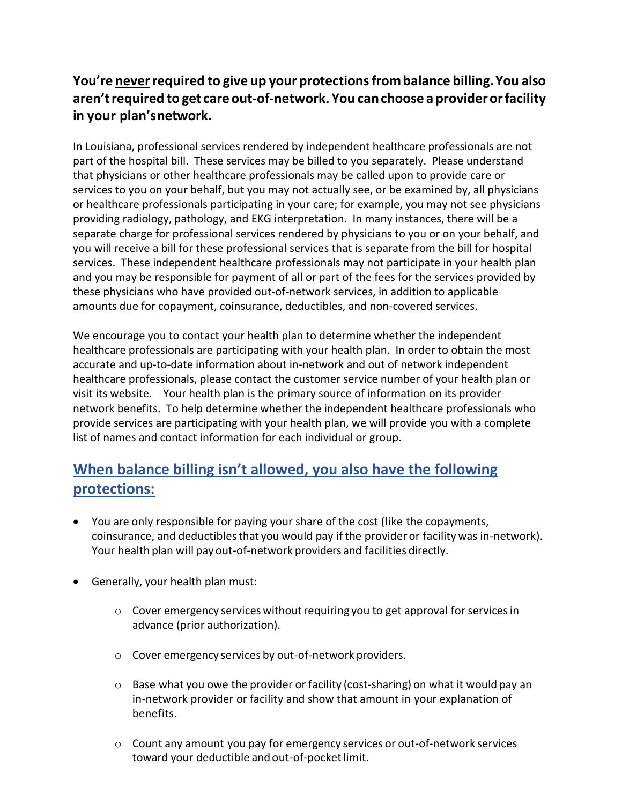## **You're neverrequired to give up your protectionsfrombalance billing.You also aren'trequired to get careout-of-network. You canchoose a providerorfacility in your plan'snetwork.**

In Louisiana, professional services rendered by independent healthcare professionals are not part of the hospital bill. These services may be billed to you separately. Please understand that physicians or other healthcare professionals may be called upon to provide care or services to you on your behalf, but you may not actually see, or be examined by, all physicians or healthcare professionals participating in your care; for example, you may not see physicians providing radiology, pathology, and EKG interpretation. In many instances, there will be a separate charge for professional services rendered by physicians to you or on your behalf, and you will receive a bill for these professional services that is separate from the bill for hospital services. These independent healthcare professionals may not participate in your health plan and you may be responsible for payment of all or part of the fees for the services provided by these physicians who have provided out-of-network services, in addition to applicable amounts due for copayment, coinsurance, deductibles, and non-covered services.

We encourage you to contact your health plan to determine whether the independent healthcare professionals are participating with your health plan. In order to obtain the most accurate and up-to-date information about in-network and out of network independent healthcare professionals, please contact the customer service number of your health plan or visit its website. Your health plan is the primary source of information on its provider network benefits. To help determine whether the independent healthcare professionals who provide services are participating with your health plan, we will provide you with a complete list of names and contact information for each individual or group.

# **When balance billing isn't allowed, you also have the following protections:**

- You are only responsible for paying your share of the cost (like the copayments, coinsurance, and deductibles that you would pay if the provider or facility was in-network). Your health plan will pay out-of-network providers and facilities directly.
- Generally, your health plan must:
	- $\circ$  Cover emergency services without requiring you to get approval for services in advance (prior authorization).
	- o Cover emergency services by out-of-network providers.
	- $\circ$  Base what you owe the provider or facility (cost-sharing) on what it would pay an in-network provider or facility and show that amount in your explanation of benefits.
	- o Count any amount you pay for emergency services or out-of-network services toward your deductible and out-of-pocket limit.